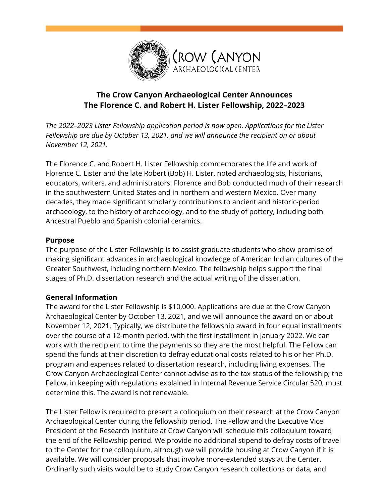

# **The Crow Canyon Archaeological Center Announces The Florence C. and Robert H. Lister Fellowship, 2022–2023**

*The 2022–2023 Lister Fellowship application period is now open. Applications for the Lister Fellowship are due by October 13, 2021, and we will announce the recipient on or about November 12, 2021.*

The Florence C. and Robert H. Lister Fellowship commemorates the life and work of Florence C. Lister and the late Robert (Bob) H. Lister, noted archaeologists, historians, educators, writers, and administrators. Florence and Bob conducted much of their research in the southwestern United States and in northern and western Mexico. Over many decades, they made significant scholarly contributions to ancient and historic-period archaeology, to the history of archaeology, and to the study of pottery, including both Ancestral Pueblo and Spanish colonial ceramics.

## **Purpose**

The purpose of the Lister Fellowship is to assist graduate students who show promise of making significant advances in archaeological knowledge of American Indian cultures of the Greater Southwest, including northern Mexico. The fellowship helps support the final stages of Ph.D. dissertation research and the actual writing of the dissertation.

### **General Information**

The award for the Lister Fellowship is \$10,000. Applications are due at the Crow Canyon Archaeological Center by October 13, 2021, and we will announce the award on or about November 12, 2021. Typically, we distribute the fellowship award in four equal installments over the course of a 12-month period, with the first installment in January 2022. We can work with the recipient to time the payments so they are the most helpful. The Fellow can spend the funds at their discretion to defray educational costs related to his or her Ph.D. program and expenses related to dissertation research, including living expenses. The Crow Canyon Archaeological Center cannot advise as to the tax status of the fellowship; the Fellow, in keeping with regulations explained in Internal Revenue Service Circular 520, must determine this. The award is not renewable.

The Lister Fellow is required to present a colloquium on their research at the Crow Canyon Archaeological Center during the fellowship period. The Fellow and the Executive Vice President of the Research Institute at Crow Canyon will schedule this colloquium toward the end of the Fellowship period. We provide no additional stipend to defray costs of travel to the Center for the colloquium, although we will provide housing at Crow Canyon if it is available. We will consider proposals that involve more-extended stays at the Center. Ordinarily such visits would be to study Crow Canyon research collections or data, and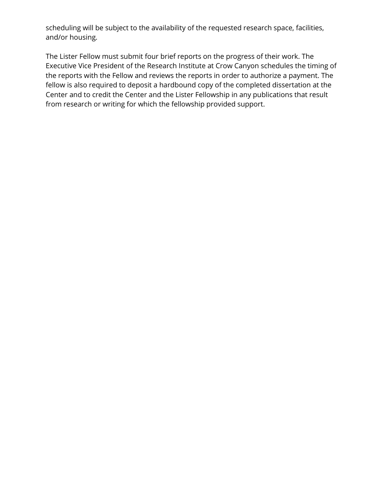scheduling will be subject to the availability of the requested research space, facilities, and/or housing.

The Lister Fellow must submit four brief reports on the progress of their work. The Executive Vice President of the Research Institute at Crow Canyon schedules the timing of the reports with the Fellow and reviews the reports in order to authorize a payment. The fellow is also required to deposit a hardbound copy of the completed dissertation at the Center and to credit the Center and the Lister Fellowship in any publications that result from research or writing for which the fellowship provided support.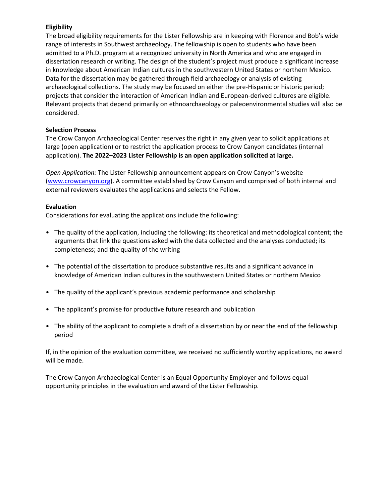#### **Eligibility**

The broad eligibility requirements for the Lister Fellowship are in keeping with Florence and Bob's wide range of interests in Southwest archaeology. The fellowship is open to students who have been admitted to a Ph.D. program at a recognized university in North America and who are engaged in dissertation research or writing. The design of the student's project must produce a significant increase in knowledge about American Indian cultures in the southwestern United States or northern Mexico. Data for the dissertation may be gathered through field archaeology or analysis of existing archaeological collections. The study may be focused on either the pre-Hispanic or historic period; projects that consider the interaction of American Indian and European-derived cultures are eligible. Relevant projects that depend primarily on ethnoarchaeology or paleoenvironmental studies will also be considered.

#### **Selection Process**

The Crow Canyon Archaeological Center reserves the right in any given year to solicit applications at large (open application) or to restrict the application process to Crow Canyon candidates (internal application). **The 2022–2023 Lister Fellowship is an open application solicited at large.**

*Open Application:* The Lister Fellowship announcement appears on Crow Canyon's website [\(www.crowcanyon.org\)](http://www.crowcanyon.org/). A committee established by Crow Canyon and comprised of both internal and external reviewers evaluates the applications and selects the Fellow.

#### **Evaluation**

Considerations for evaluating the applications include the following:

- The quality of the application, including the following: its theoretical and methodological content; the arguments that link the questions asked with the data collected and the analyses conducted; its completeness; and the quality of the writing
- The potential of the dissertation to produce substantive results and a significant advance in knowledge of American Indian cultures in the southwestern United States or northern Mexico
- The quality of the applicant's previous academic performance and scholarship
- The applicant's promise for productive future research and publication
- The ability of the applicant to complete a draft of a dissertation by or near the end of the fellowship period

If, in the opinion of the evaluation committee, we received no sufficiently worthy applications, no award will be made.

The Crow Canyon Archaeological Center is an Equal Opportunity Employer and follows equal opportunity principles in the evaluation and award of the Lister Fellowship.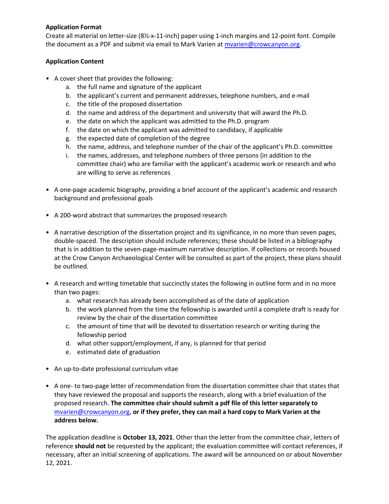#### **Application Format**

Create all material on letter-size (8½-x-11-inch) paper using 1-inch margins and 12-point font. Compile the document as a PDF and submit via email to Mark Varien at *mvarien@crowcanyon.org*.

### **Application Content**

- A cover sheet that provides the following:
	- a. the full name and signature of the applicant
	- b. the applicant's current and permanent addresses, telephone numbers, and e-mail
	- c. the title of the proposed dissertation
	- d. the name and address of the department and university that will award the Ph.D.
	- e. the date on which the applicant was admitted to the Ph.D. program
	- f. the date on which the applicant was admitted to candidacy, if applicable
	- g. the expected date of completion of the degree
	- h. the name, address, and telephone number of the chair of the applicant's Ph.D. committee
	- i. the names, addresses, and telephone numbers of three persons (in addition to the committee chair) who are familiar with the applicant's academic work or research and who are willing to serve as references
- A one-page academic biography, providing a brief account of the applicant's academic and research background and professional goals
- A 200-word abstract that summarizes the proposed research
- A narrative description of the dissertation project and its significance, in no more than seven pages, double-spaced. The description should include references; these should be listed in a bibliography that is in addition to the seven-page-maximum narrative description. If collections or records housed at the Crow Canyon Archaeological Center will be consulted as part of the project, these plans should be outlined.
- A research and writing timetable that succinctly states the following in outline form and in no more than two pages:
	- a. what research has already been accomplished as of the date of application
	- b. the work planned from the time the fellowship is awarded until a complete draft is ready for review by the chair of the dissertation committee
	- c. the amount of time that will be devoted to dissertation research or writing during the fellowship period
	- d. what other support/employment, if any, is planned for that period
	- e. estimated date of graduation
- An up-to-date professional curriculum vitae
- A one- to two-page letter of recommendation from the dissertation committee chair that states that they have reviewed the proposal and supports the research, along with a brief evaluation of the proposed research. **The committee chair should submit a pdf file of this letter separately to**  [mvarien@crowcanyon.org,](mailto:mvarien@crowcanyon.org) **or if they prefer, they can mail a hard copy to Mark Varien at the address below.**

The application deadline is **October 13, 2021**. Other than the letter from the committee chair, letters of reference **should not** be requested by the applicant; the evaluation committee will contact references, if necessary, after an initial screening of applications. The award will be announced on or about November 12, 2021.